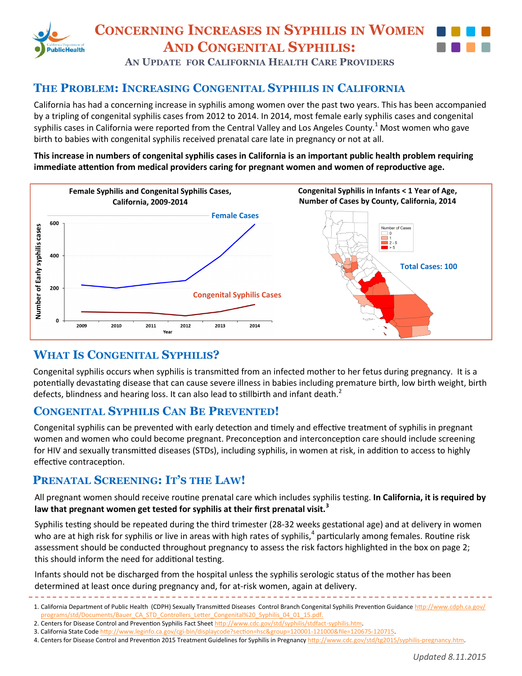

# **CONCERNING INCREASES IN SYPHILIS IN WOMEN AND CONGENITAL SYPHILIS:**



**AN UPDATE FOR CALIFORNIA HEALTH CARE PROVIDERS**

## **THE PROBLEM: INCREASING CONGENITAL SYPHILIS IN CALIFORNIA**

California has had a concerning increase in syphilis among women over the past two years. This has been accompanied by a tripling of congenital syphilis cases from 2012 to 2014. In 2014, most female early syphilis cases and congenital syphilis cases in California were reported from the Central Valley and Los Angeles County.<sup>1</sup> Most women who gave birth to babies with congenital syphilis received prenatal care late in pregnancy or not at all.

#### **This increase in numbers of congenital syphilis cases in California is an important public health problem requiring immediate attention from medical providers caring for pregnant women and women of reproductive age.**



# **WHAT IS CONGENITAL SYPHILIS?**

Congenital syphilis occurs when syphilis is transmitted from an infected mother to her fetus during pregnancy. It is a potentially devastating disease that can cause severe illness in babies including premature birth, low birth weight, birth defects, blindness and hearing loss. It can also lead to stillbirth and infant death.<sup>2</sup>

### **CONGENITAL SYPHILIS CAN BE PREVENTED!**

Congenital syphilis can be prevented with early detection and timely and effective treatment of syphilis in pregnant women and women who could become pregnant. Preconception and interconception care should include screening for HIV and sexually transmitted diseases (STDs), including syphilis, in women at risk, in addition to access to highly effective contraception.

All pregnant women should receive routine prenatal care which includes syphilis testing. **In California, it is required by law that pregnant women get tested for syphilis at their first prenatal visit.<sup>3</sup>**

Syphilis testing should be repeated during the third trimester (28-32 weeks gestational age) and at delivery in women who are at high risk for syphilis or live in areas with high rates of syphilis,<sup>4</sup> particularly among females. Routine risk assessment should be conducted throughout pregnancy to assess the risk factors highlighted in the box on page 2; this should inform the need for additional testing.

Infants should not be discharged from the hospital unless the syphilis serologic status of the mother has been determined at least once during pregnancy and, for at-risk women, again at delivery.

- 2. Centers for Disease Control and Prevention Syphilis Fact Sheet http://www.cdc.gov/std/syphilis/stdfact-syphilis.htm.
- 3. California State Code http://www.leginfo.ca.gov/cgi-[bin/displaycode?section=hsc&group=120001](http://www.leginfo.ca.gov/cgi-bin/displaycode?section=hsc&group=120001-121000&file=120675-120715)-121000&file=120675-120715.

<sup>1.</sup> California Department of Public Health (CDPH) Sexually Transmitted Diseases Control Branch Congenital Syphilis Prevention Guidance http://www.cdph.ca.gov/ programs/std/Documents/Bauer\_CA\_STD\_Controllers\_Letter\_Congenital%20\_Syphilis\_04\_01\_15.pdf.

<sup>4.</sup> Centers for Disease Control and Prevention 2015 Treatment Guidelines for Syphilis in Pregnancy http://www.cdc.gov/std/tg2015/syphilis-pregnancy.htm.